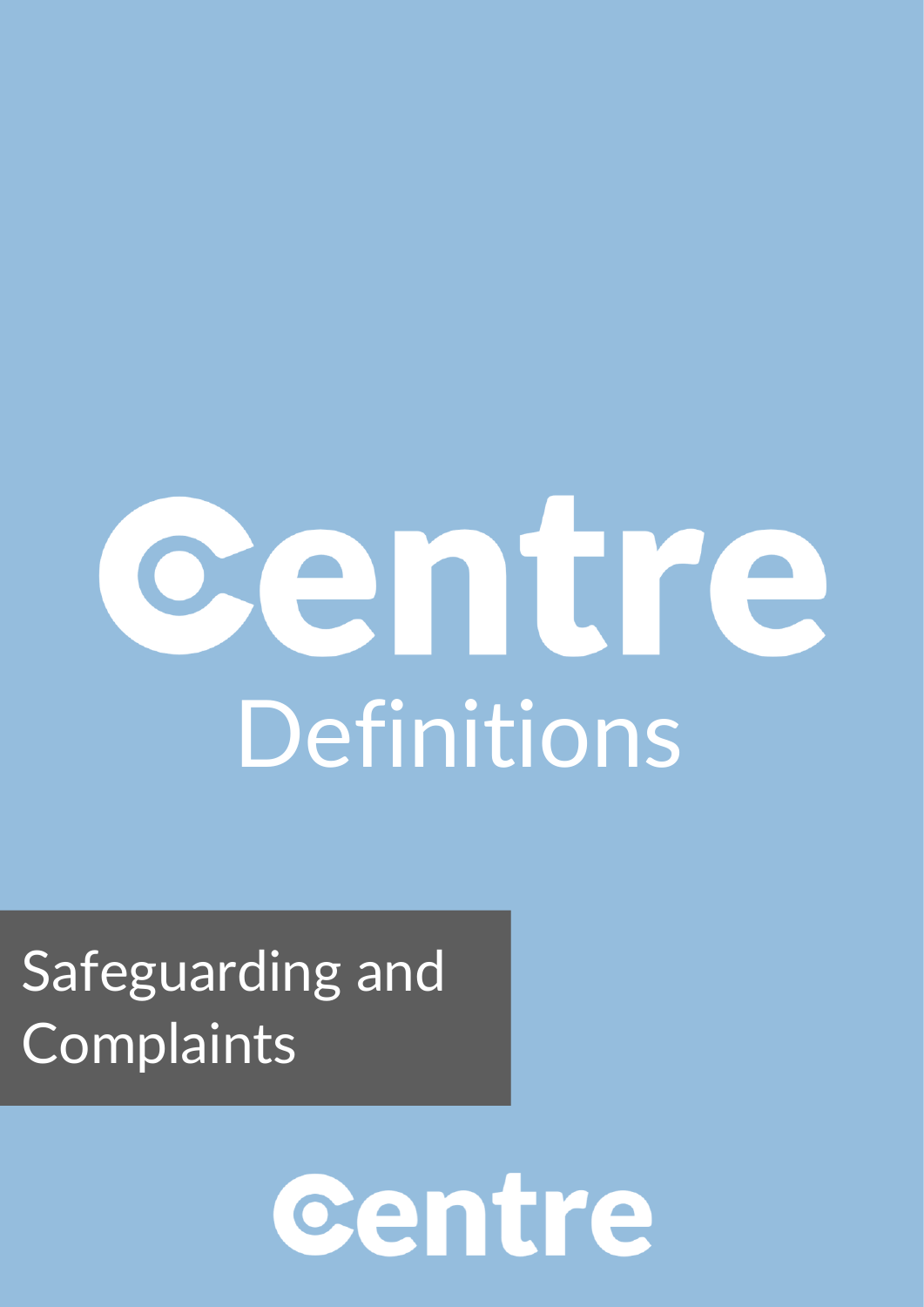# entre Definitions

### Safeguarding and **Complaints**

## centre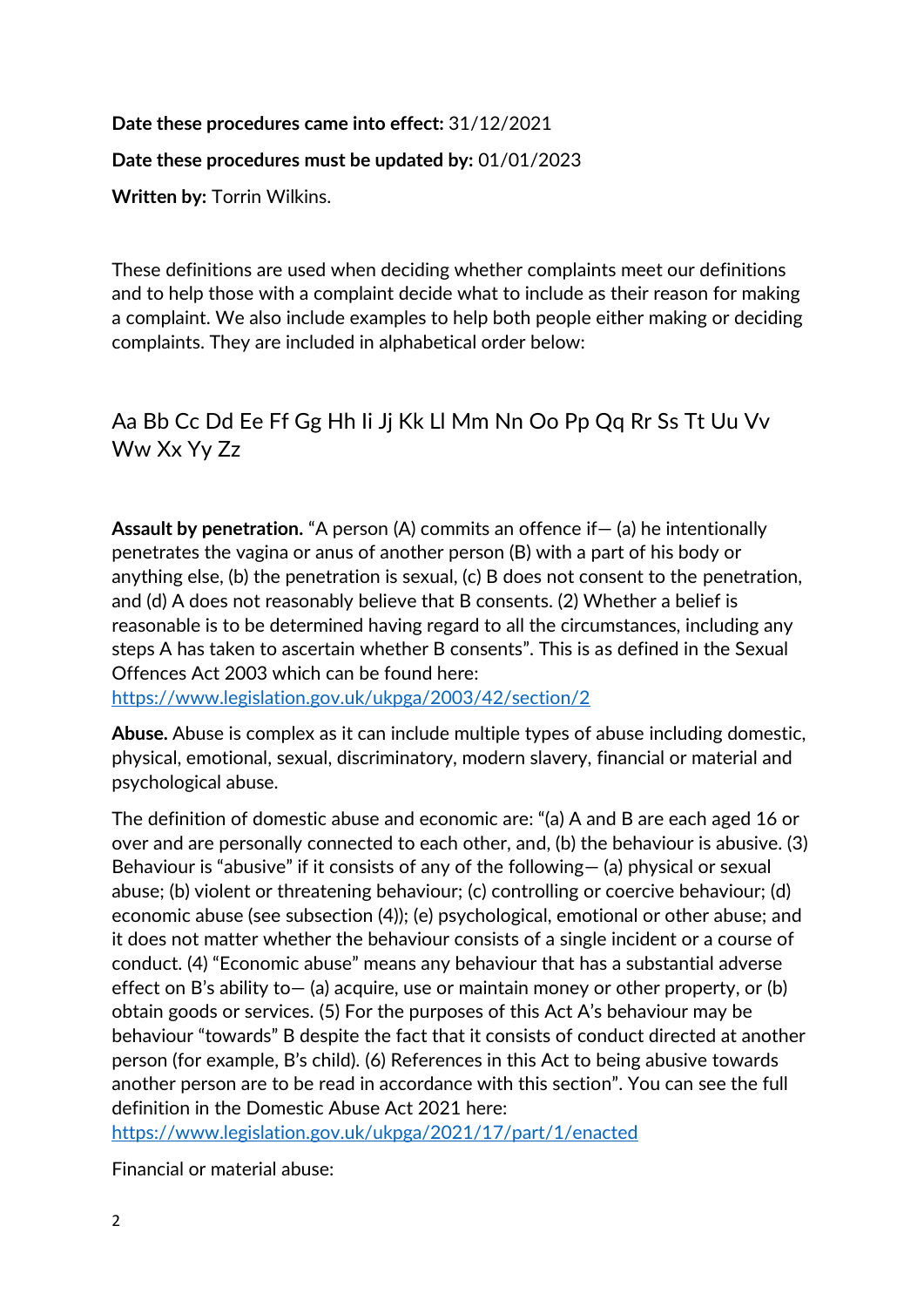#### **Date these procedures came into effect:** 31/12/2021 **Date these procedures must be updated by:** 01/01/2023

**Written by:** Torrin Wilkins.

These definitions are used when deciding whether complaints meet our definitions and to help those with a complaint decide what to include as their reason for making a complaint. We also include examples to help both people either making or deciding complaints. They are included in alphabetical order below:

#### Aa Bb Cc Dd Ee Ff Gg Hh Ii Jj Kk Ll Mm Nn Oo Pp Qq Rr Ss Tt Uu Vv Ww Xx Yy Zz

**Assault by penetration.** "A person (A) commits an offence if— (a) he intentionally penetrates the vagina or anus of another person (B) with a part of his body or anything else, (b) the penetration is sexual, (c) B does not consent to the penetration, and (d) A does not reasonably believe that B consents. (2) Whether a belief is reasonable is to be determined having regard to all the circumstances, including any steps A has taken to ascertain whether B consents". This is as defined in the Sexual Offences Act 2003 which can be found here:

<https://www.legislation.gov.uk/ukpga/2003/42/section/2>

**Abuse.** Abuse is complex as it can include multiple types of abuse including domestic, physical, emotional, sexual, discriminatory, modern slavery, financial or material and psychological abuse.

The definition of domestic abuse and economic are: "(a) A and B are each aged 16 or over and are personally connected to each other, and, (b) the behaviour is abusive. (3) Behaviour is "abusive" if it consists of any of the following— (a) physical or sexual abuse; (b) violent or threatening behaviour; (c) controlling or coercive behaviour; (d) economic abuse (see subsection (4)); (e) psychological, emotional or other abuse; and it does not matter whether the behaviour consists of a single incident or a course of conduct. (4) "Economic abuse" means any behaviour that has a substantial adverse effect on B's ability to  $-$  (a) acquire, use or maintain money or other property, or (b) obtain goods or services. (5) For the purposes of this Act A's behaviour may be behaviour "towards" B despite the fact that it consists of conduct directed at another person (for example, B's child). (6) References in this Act to being abusive towards another person are to be read in accordance with this section". You can see the full definition in the Domestic Abuse Act 2021 here:

<https://www.legislation.gov.uk/ukpga/2021/17/part/1/enacted>

Financial or material abuse: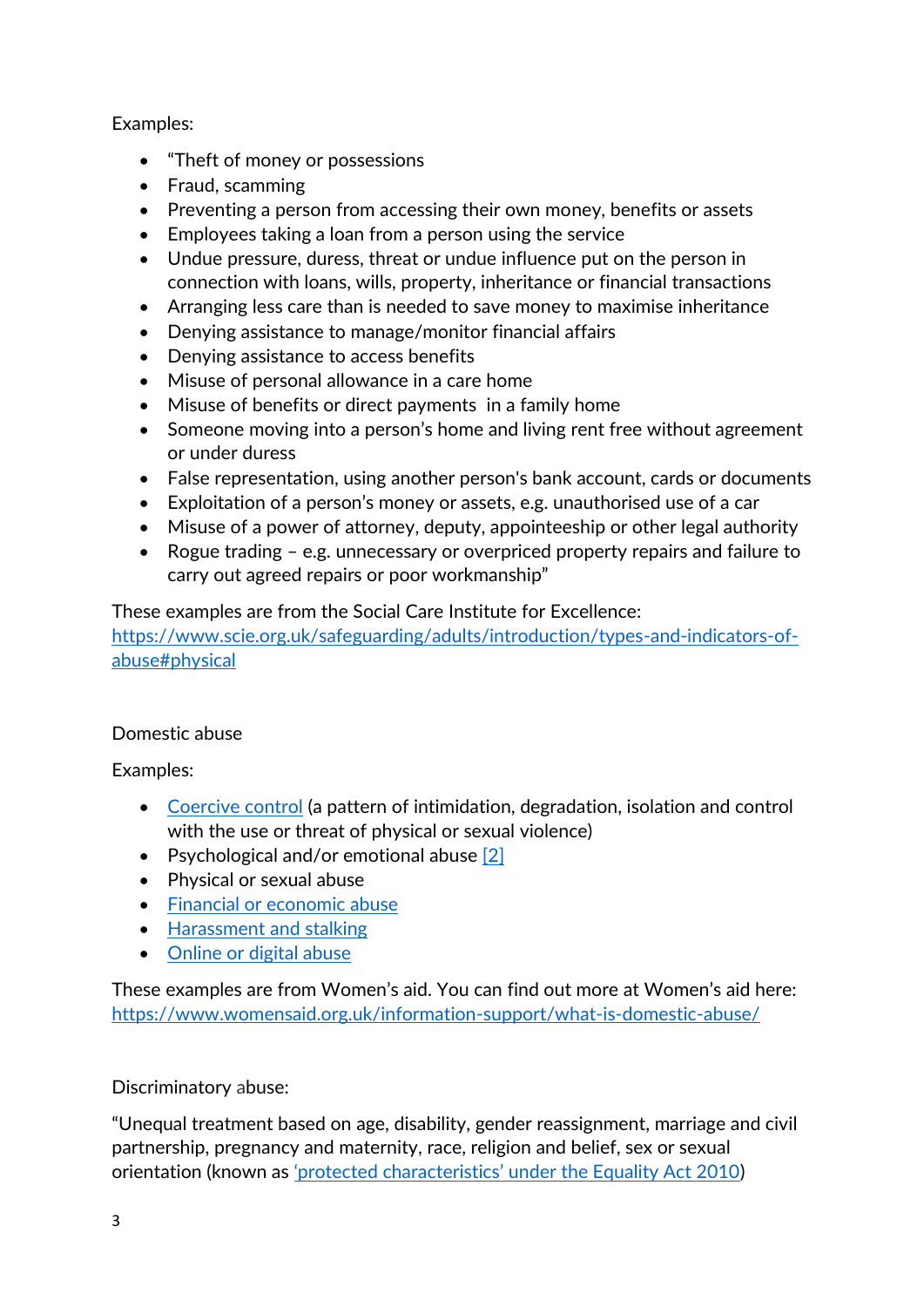- "Theft of money or possessions
- Fraud, scamming
- Preventing a person from accessing their own money, benefits or assets
- Employees taking a loan from a person using the service
- Undue pressure, duress, threat or undue influence put on the person in connection with loans, wills, property, inheritance or financial transactions
- Arranging less care than is needed to save money to maximise inheritance
- Denying assistance to manage/monitor financial affairs
- Denying assistance to access benefits
- Misuse of personal allowance in a care home
- Misuse of benefits or direct payments in a family home
- Someone moving into a person's home and living rent free without agreement or under duress
- False representation, using another person's bank account, cards or documents
- Exploitation of a person's money or assets, e.g. unauthorised use of a car
- Misuse of a power of attorney, deputy, appointeeship or other legal authority
- Rogue trading e.g. unnecessary or overpriced property repairs and failure to carry out agreed repairs or poor workmanship"

These examples are from the Social Care Institute for Excellence:

[https://www.scie.org.uk/safeguarding/adults/introduction/types-and-indicators-of](https://www.scie.org.uk/safeguarding/adults/introduction/types-and-indicators-of-abuse#physical)[abuse#physical](https://www.scie.org.uk/safeguarding/adults/introduction/types-and-indicators-of-abuse#physical)

#### Domestic abuse

Examples:

- [Coercive control](https://www.womensaid.org.uk/information-support/what-is-domestic-abuse/coercive-control/) (a pattern of intimidation, degradation, isolation and control with the use or threat of physical or sexual violence)
- Psychological and/or emotional abuse  $[2]$
- Physical or sexual abuse
- [Financial or economic abuse](https://www.womensaid.org.uk/information-support/what-is-domestic-abuse/financial-abuse/)
- [Harassment and stalking](https://www.womensaid.org.uk/information-support/what-is-domestic-abuse/stalking/)
- [Online or digital abuse](https://www.womensaid.org.uk/information-support/what-is-domestic-abuse/onlinesafety/)

These examples are from Women's aid. You can find out more at Women's aid here: <https://www.womensaid.org.uk/information-support/what-is-domestic-abuse/>

#### Discriminatory abuse:

"Unequal treatment based on age, disability, gender reassignment, marriage and civil partnership, pregnancy and maternity, race, religion and belief, sex or sexual orientation (known as ['protected characteristics' under the Equality Act 2010](https://www.equalityhumanrights.com/en/equality-act/protected-characteristics))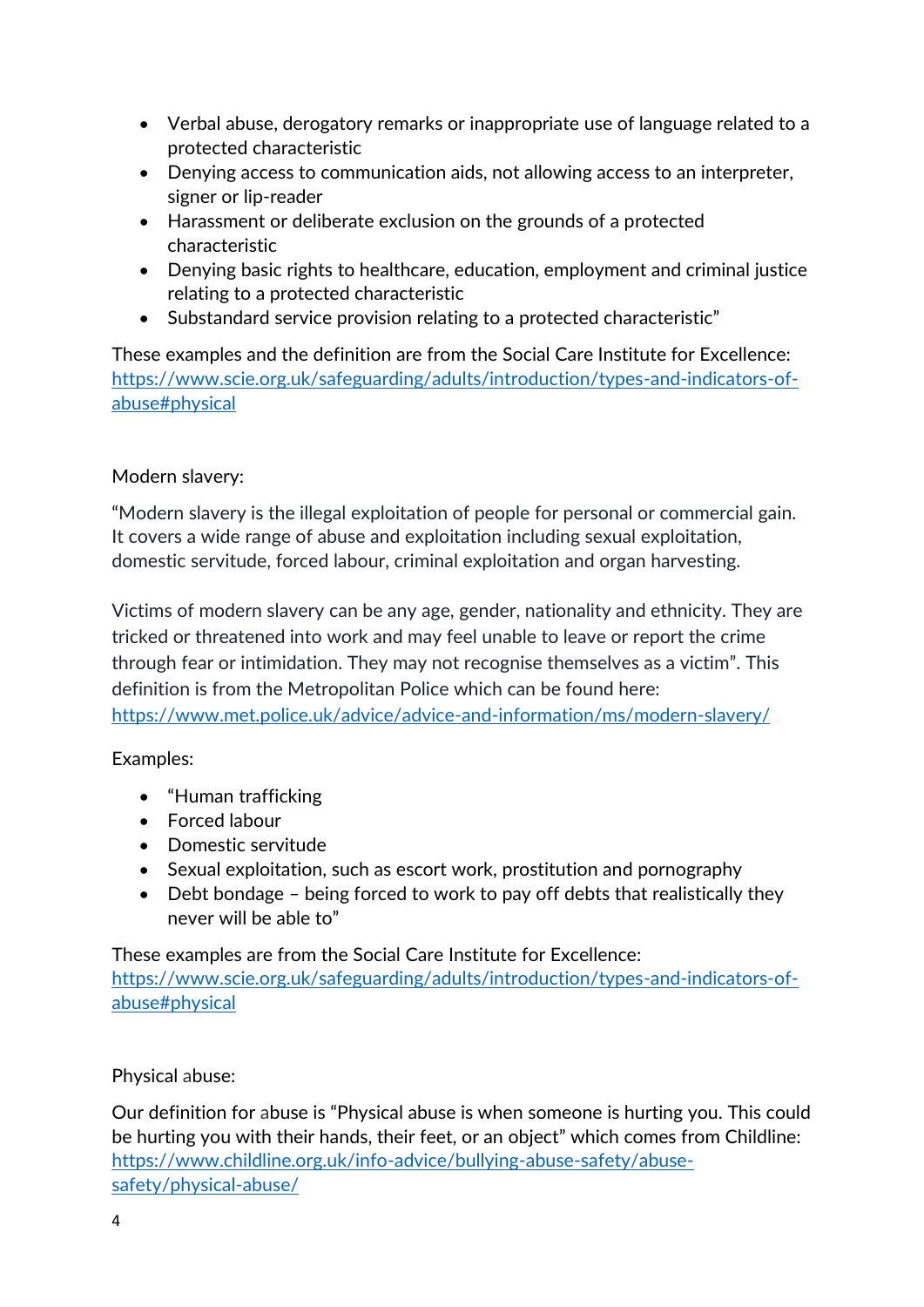- Verbal abuse, derogatory remarks or inappropriate use of language related to a protected characteristic
- Denying access to communication aids, not allowing access to an interpreter, signer or lip-reader
- Harassment or deliberate exclusion on the grounds of a protected characteristic
- Denying basic rights to healthcare, education, employment and criminal justice relating to a protected characteristic
- Substandard service provision relating to a protected characteristic"

These examples and the definition are from the Social Care Institute for Excellence: [https://www.scie.org.uk/safeguarding/adults/introduction/types-and-indicators-of](https://www.scie.org.uk/safeguarding/adults/introduction/types-and-indicators-of-abuse#physical)[abuse#physical](https://www.scie.org.uk/safeguarding/adults/introduction/types-and-indicators-of-abuse#physical)

#### Modern slavery:

"Modern slavery is the illegal exploitation of people for personal or commercial gain. It covers a wide range of abuse and exploitation including sexual exploitation, domestic servitude, forced labour, criminal exploitation and organ harvesting.

Victims of modern slavery can be any age, gender, nationality and ethnicity. They are tricked or threatened into work and may feel unable to leave or report the crime through fear or intimidation. They may not recognise themselves as a victim". This definition is from the Metropolitan Police which can be found here: <https://www.met.police.uk/advice/advice-and-information/ms/modern-slavery/>

#### Examples:

- "Human trafficking
- Forced labour
- Domestic servitude
- Sexual exploitation, such as escort work, prostitution and pornography
- Debt bondage being forced to work to pay off debts that realistically they never will be able to"

These examples are from the Social Care Institute for Excellence: [https://www.scie.org.uk/safeguarding/adults/introduction/types-and-indicators-of](https://www.scie.org.uk/safeguarding/adults/introduction/types-and-indicators-of-abuse#physical)[abuse#physical](https://www.scie.org.uk/safeguarding/adults/introduction/types-and-indicators-of-abuse#physical)

#### Physical abuse:

Our definition for abuse is "Physical abuse is when someone is hurting you. This could be hurting you with their hands, their feet, or an object" which comes from Childline: [https://www.childline.org.uk/info-advice/bullying-abuse-safety/abuse](https://www.childline.org.uk/info-advice/bullying-abuse-safety/abuse-safety/physical-abuse/)[safety/physical-abuse/](https://www.childline.org.uk/info-advice/bullying-abuse-safety/abuse-safety/physical-abuse/)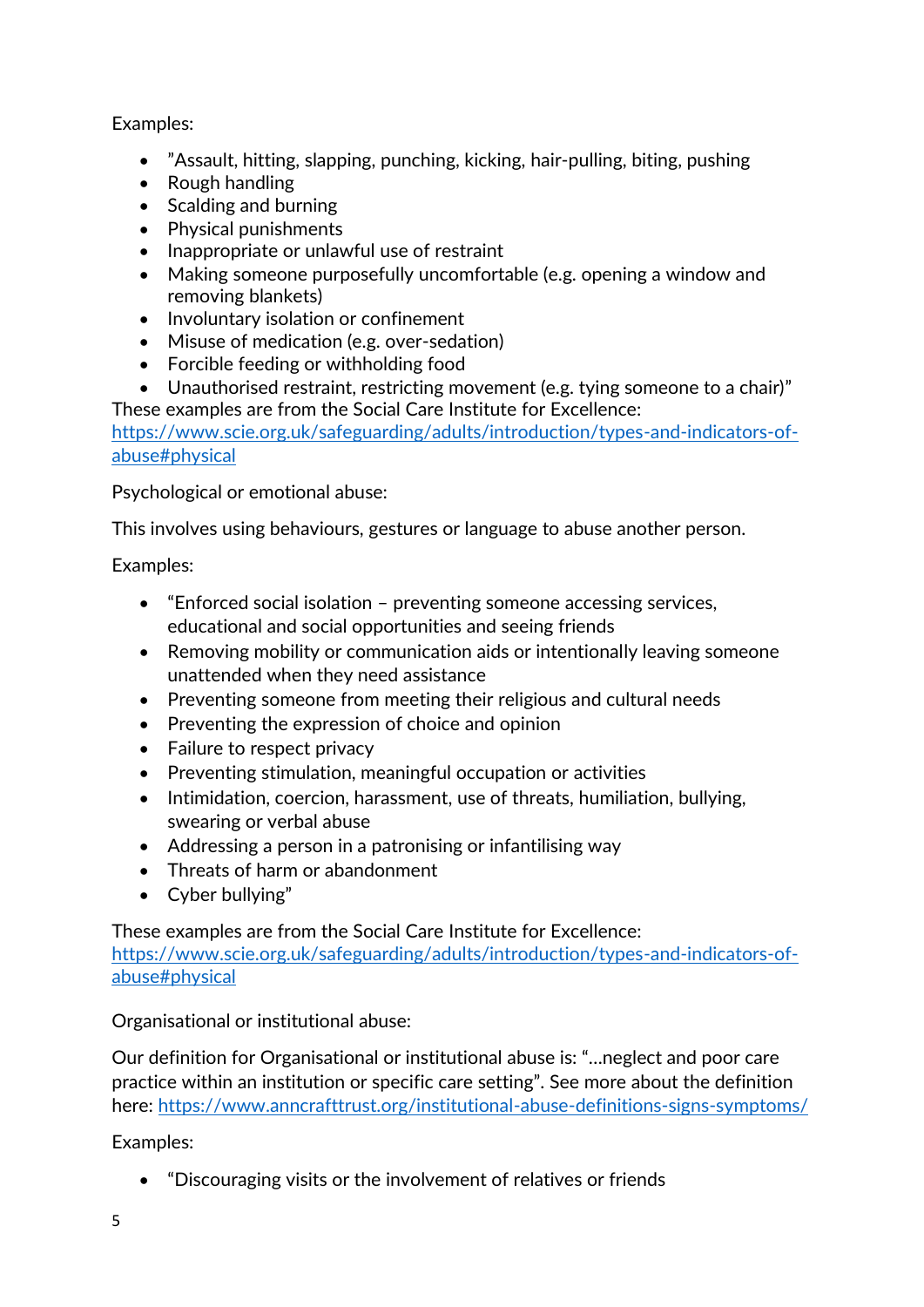- "Assault, hitting, slapping, punching, kicking, hair-pulling, biting, pushing
- Rough handling
- Scalding and burning
- Physical punishments
- Inappropriate or unlawful use of restraint
- Making someone purposefully uncomfortable (e.g. opening a window and removing blankets)
- Involuntary isolation or confinement
- Misuse of medication (e.g. over-sedation)
- Forcible feeding or withholding food
- Unauthorised restraint, restricting movement (e.g. tying someone to a chair)" These examples are from the Social Care Institute for Excellence:

[https://www.scie.org.uk/safeguarding/adults/introduction/types-and-indicators-of](https://www.scie.org.uk/safeguarding/adults/introduction/types-and-indicators-of-abuse#physical)[abuse#physical](https://www.scie.org.uk/safeguarding/adults/introduction/types-and-indicators-of-abuse#physical)

Psychological or emotional abuse:

This involves using behaviours, gestures or language to abuse another person.

Examples:

- "Enforced social isolation preventing someone accessing services, educational and social opportunities and seeing friends
- Removing mobility or communication aids or intentionally leaving someone unattended when they need assistance
- Preventing someone from meeting their religious and cultural needs
- Preventing the expression of choice and opinion
- Failure to respect privacy
- Preventing stimulation, meaningful occupation or activities
- Intimidation, coercion, harassment, use of threats, humiliation, bullying, swearing or verbal abuse
- Addressing a person in a patronising or infantilising way
- Threats of harm or abandonment
- Cyber bullying"

These examples are from the Social Care Institute for Excellence:

[https://www.scie.org.uk/safeguarding/adults/introduction/types-and-indicators-of](https://www.scie.org.uk/safeguarding/adults/introduction/types-and-indicators-of-abuse#physical)[abuse#physical](https://www.scie.org.uk/safeguarding/adults/introduction/types-and-indicators-of-abuse#physical)

Organisational or institutional abuse:

Our definition for Organisational or institutional abuse is: "…neglect and poor care practice within an institution or specific care setting". See more about the definition here:<https://www.anncrafttrust.org/institutional-abuse-definitions-signs-symptoms/>

Examples:

• "Discouraging visits or the involvement of relatives or friends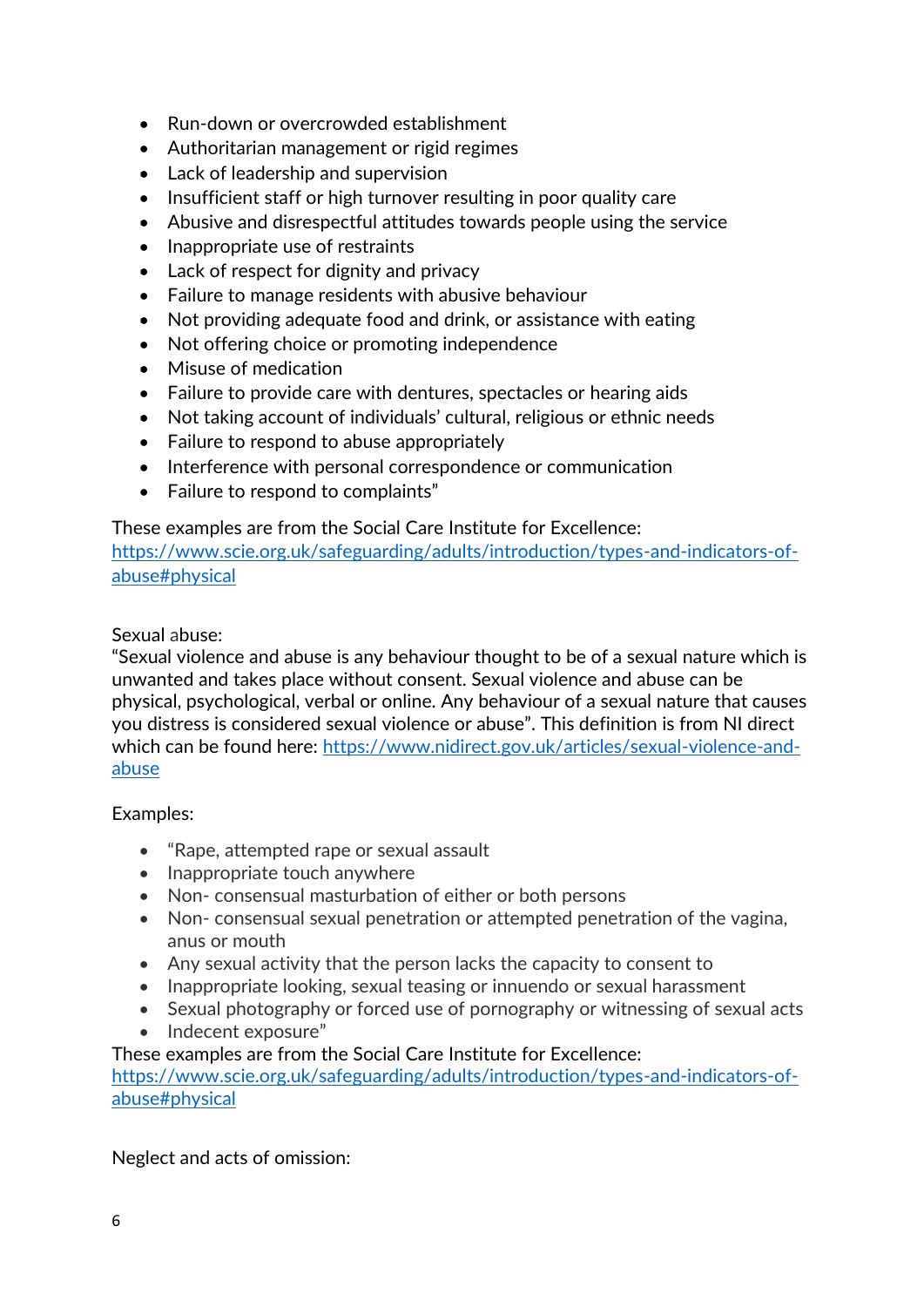- Run-down or overcrowded establishment
- Authoritarian management or rigid regimes
- Lack of leadership and supervision
- Insufficient staff or high turnover resulting in poor quality care
- Abusive and disrespectful attitudes towards people using the service
- Inappropriate use of restraints
- Lack of respect for dignity and privacy
- Failure to manage residents with abusive behaviour
- Not providing adequate food and drink, or assistance with eating
- Not offering choice or promoting independence
- Misuse of medication
- Failure to provide care with dentures, spectacles or hearing aids
- Not taking account of individuals' cultural, religious or ethnic needs
- Failure to respond to abuse appropriately
- Interference with personal correspondence or communication
- Failure to respond to complaints"

These examples are from the Social Care Institute for Excellence:

[https://www.scie.org.uk/safeguarding/adults/introduction/types-and-indicators-of](https://www.scie.org.uk/safeguarding/adults/introduction/types-and-indicators-of-abuse#physical)[abuse#physical](https://www.scie.org.uk/safeguarding/adults/introduction/types-and-indicators-of-abuse#physical)

Sexual abuse:

"Sexual violence and abuse is any behaviour thought to be of a sexual nature which is unwanted and takes place without consent. Sexual violence and abuse can be physical, psychological, verbal or online. Any behaviour of a sexual nature that causes you distress is considered sexual violence or abuse". This definition is from NI direct which can be found here: [https://www.nidirect.gov.uk/articles/sexual-violence-and](https://www.nidirect.gov.uk/articles/sexual-violence-and-abuse)[abuse](https://www.nidirect.gov.uk/articles/sexual-violence-and-abuse)

Examples:

- "Rape, attempted rape or sexual assault
- Inappropriate touch anywhere
- Non- consensual masturbation of either or both persons
- Non- consensual sexual penetration or attempted penetration of the vagina, anus or mouth
- Any sexual activity that the person lacks the capacity to consent to
- Inappropriate looking, sexual teasing or innuendo or sexual harassment
- Sexual photography or forced use of pornography or witnessing of sexual acts
- Indecent exposure"

#### These examples are from the Social Care Institute for Excellence:

[https://www.scie.org.uk/safeguarding/adults/introduction/types-and-indicators-of](https://www.scie.org.uk/safeguarding/adults/introduction/types-and-indicators-of-abuse#physical)[abuse#physical](https://www.scie.org.uk/safeguarding/adults/introduction/types-and-indicators-of-abuse#physical)

Neglect and acts of omission: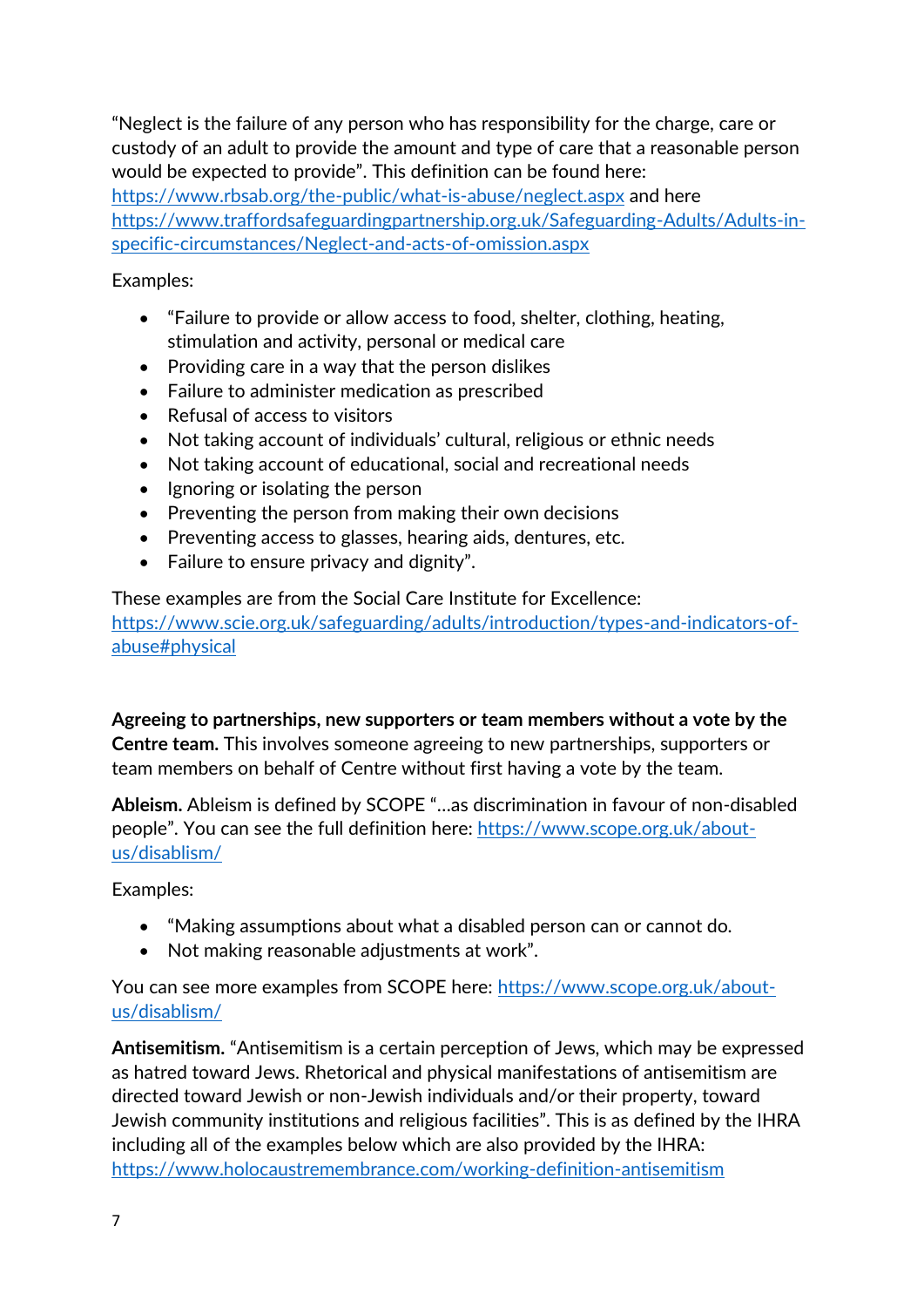"Neglect is the failure of any person who has responsibility for the charge, care or custody of an adult to provide the amount and type of care that a reasonable person would be expected to provide". This definition can be found here: <https://www.rbsab.org/the-public/what-is-abuse/neglect.aspx> and here [https://www.traffordsafeguardingpartnership.org.uk/Safeguarding-Adults/Adults-in](https://www.traffordsafeguardingpartnership.org.uk/Safeguarding-Adults/Adults-in-specific-circumstances/Neglect-and-acts-of-omission.aspx)[specific-circumstances/Neglect-and-acts-of-omission.aspx](https://www.traffordsafeguardingpartnership.org.uk/Safeguarding-Adults/Adults-in-specific-circumstances/Neglect-and-acts-of-omission.aspx)

#### Examples:

- "Failure to provide or allow access to food, shelter, clothing, heating, stimulation and activity, personal or medical care
- Providing care in a way that the person dislikes
- Failure to administer medication as prescribed
- Refusal of access to visitors
- Not taking account of individuals' cultural, religious or ethnic needs
- Not taking account of educational, social and recreational needs
- Ignoring or isolating the person
- Preventing the person from making their own decisions
- Preventing access to glasses, hearing aids, dentures, etc.
- Failure to ensure privacy and dignity".

These examples are from the Social Care Institute for Excellence: [https://www.scie.org.uk/safeguarding/adults/introduction/types-and-indicators-of](https://www.scie.org.uk/safeguarding/adults/introduction/types-and-indicators-of-abuse#physical)[abuse#physical](https://www.scie.org.uk/safeguarding/adults/introduction/types-and-indicators-of-abuse#physical)

**Agreeing to partnerships, new supporters or team members without a vote by the Centre team.** This involves someone agreeing to new partnerships, supporters or team members on behalf of Centre without first having a vote by the team.

**Ableism.** Ableism is defined by SCOPE "…as discrimination in favour of non-disabled people". You can see the full definition here: [https://www.scope.org.uk/about](https://www.scope.org.uk/about-us/disablism/)[us/disablism/](https://www.scope.org.uk/about-us/disablism/)

Examples:

- "Making assumptions about what a disabled person can or cannot do.
- Not making reasonable adjustments at work".

You can see more examples from SCOPE here: [https://www.scope.org.uk/about](https://www.scope.org.uk/about-us/disablism/)[us/disablism/](https://www.scope.org.uk/about-us/disablism/)

**Antisemitism.** "Antisemitism is a certain perception of Jews, which may be expressed as hatred toward Jews. Rhetorical and physical manifestations of antisemitism are directed toward Jewish or non-Jewish individuals and/or their property, toward Jewish community institutions and religious facilities". This is as defined by the IHRA including all of the examples below which are also provided by the IHRA: <https://www.holocaustremembrance.com/working-definition-antisemitism>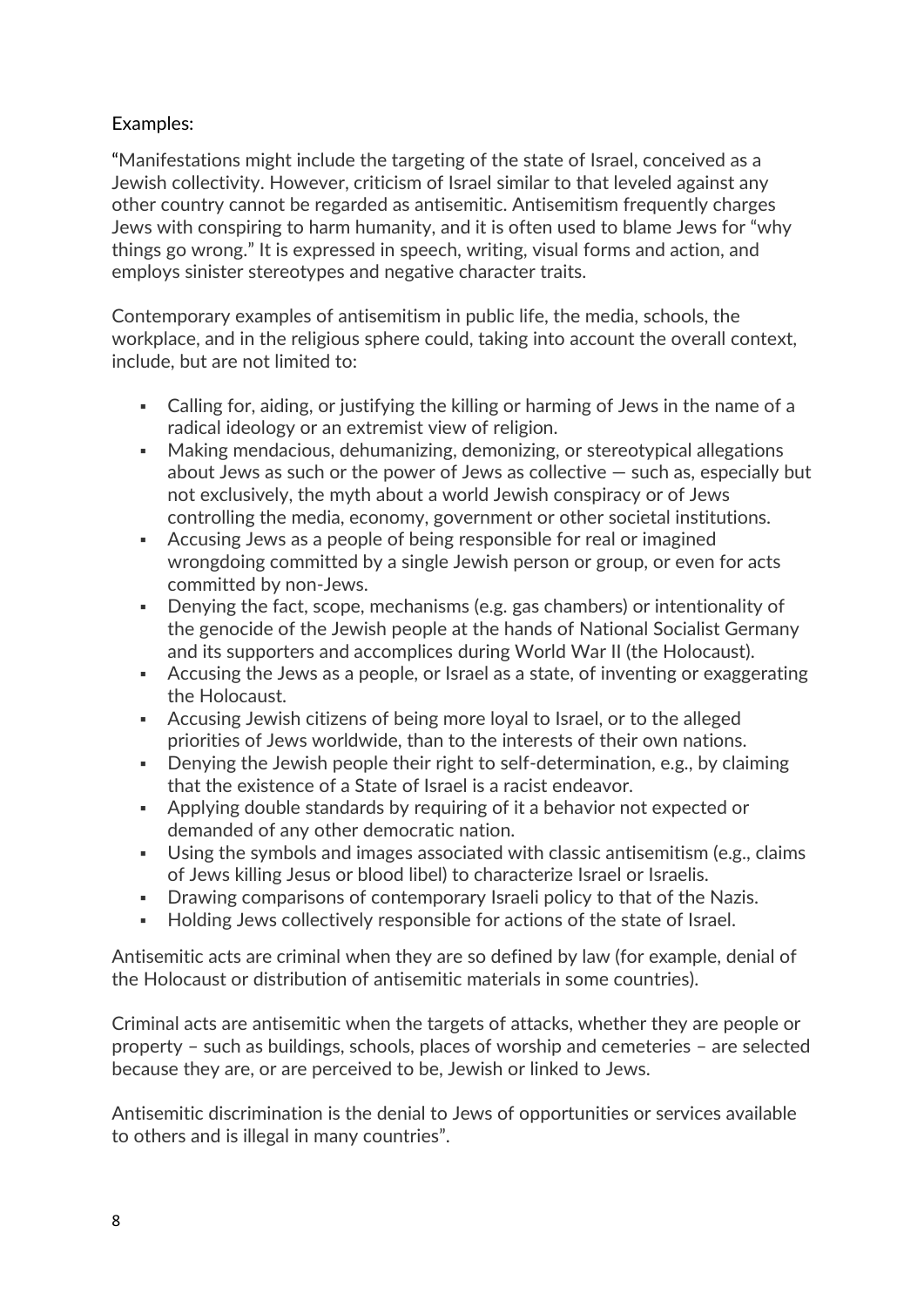"Manifestations might include the targeting of the state of Israel, conceived as a Jewish collectivity. However, criticism of Israel similar to that leveled against any other country cannot be regarded as antisemitic. Antisemitism frequently charges Jews with conspiring to harm humanity, and it is often used to blame Jews for "why things go wrong." It is expressed in speech, writing, visual forms and action, and employs sinister stereotypes and negative character traits.

Contemporary examples of antisemitism in public life, the media, schools, the workplace, and in the religious sphere could, taking into account the overall context, include, but are not limited to:

- Calling for, aiding, or justifying the killing or harming of Jews in the name of a radical ideology or an extremist view of religion.
- Making mendacious, dehumanizing, demonizing, or stereotypical allegations about Jews as such or the power of Jews as collective  $-$  such as, especially but not exclusively, the myth about a world Jewish conspiracy or of Jews controlling the media, economy, government or other societal institutions.
- Accusing Jews as a people of being responsible for real or imagined wrongdoing committed by a single Jewish person or group, or even for acts committed by non-Jews.
- Denying the fact, scope, mechanisms (e.g. gas chambers) or intentionality of the genocide of the Jewish people at the hands of National Socialist Germany and its supporters and accomplices during World War II (the Holocaust).
- Accusing the Jews as a people, or Israel as a state, of inventing or exaggerating the Holocaust.
- **EXEC** Accusing Jewish citizens of being more loyal to Israel, or to the alleged priorities of Jews worldwide, than to the interests of their own nations.
- Denying the Jewish people their right to self-determination, e.g., by claiming that the existence of a State of Israel is a racist endeavor.
- Applying double standards by requiring of it a behavior not expected or demanded of any other democratic nation.
- Using the symbols and images associated with classic antisemitism (e.g., claims of Jews killing Jesus or blood libel) to characterize Israel or Israelis.
- **Drawing comparisons of contemporary Israeli policy to that of the Nazis.**
- Holding Jews collectively responsible for actions of the state of Israel.

Antisemitic acts are criminal when they are so defined by law (for example, denial of the Holocaust or distribution of antisemitic materials in some countries).

Criminal acts are antisemitic when the targets of attacks, whether they are people or property – such as buildings, schools, places of worship and cemeteries – are selected because they are, or are perceived to be, Jewish or linked to Jews.

Antisemitic discrimination is the denial to Jews of opportunities or services available to others and is illegal in many countries".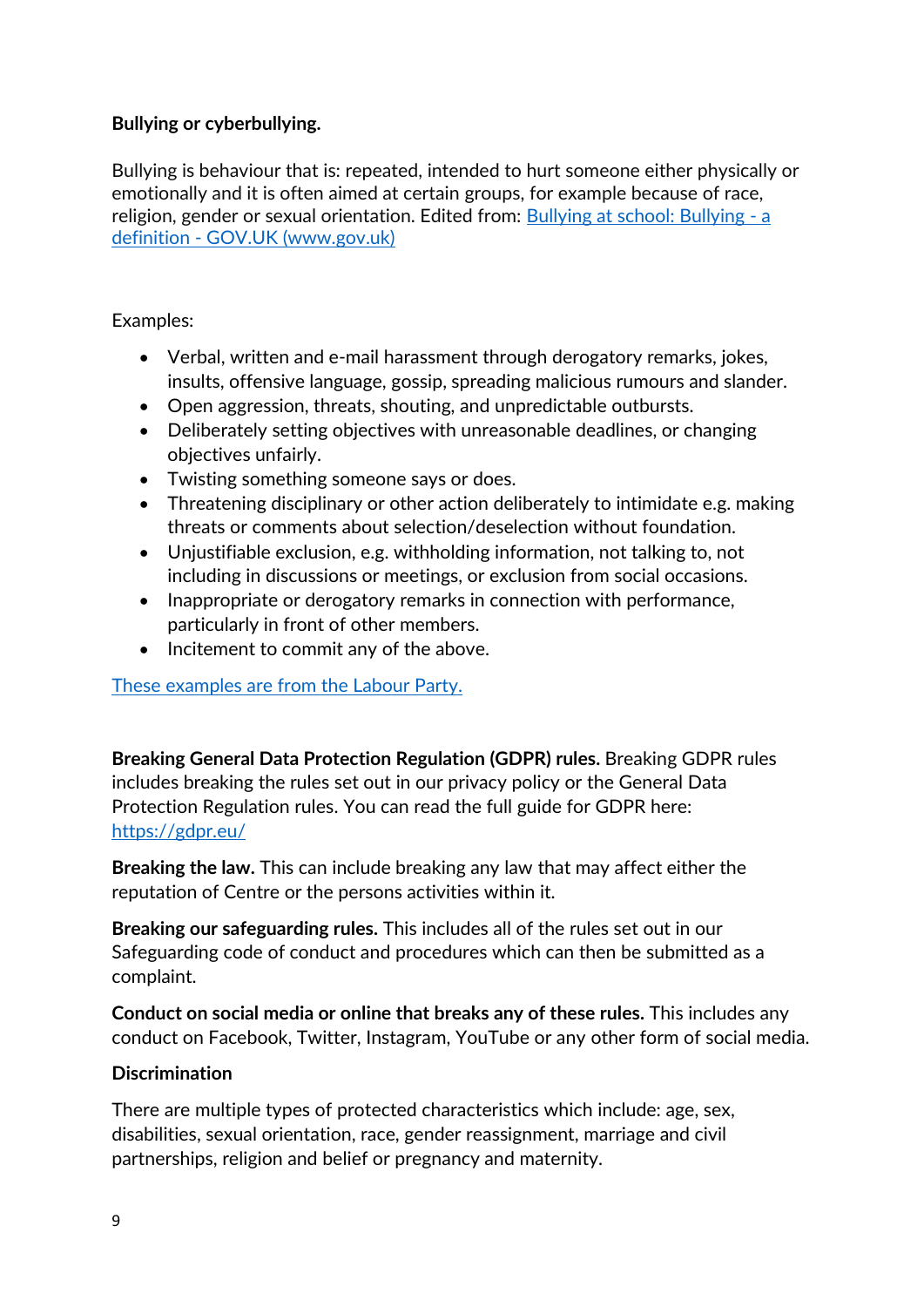#### **Bullying or cyberbullying.**

Bullying is behaviour that is: repeated, intended to hurt someone either physically or emotionally and it is often aimed at certain groups, for example because of race, religion, gender or sexual orientation. Edited from: [Bullying at school: Bullying -](https://www.gov.uk/bullying-at-school/bullying-a-definition) a definition - [GOV.UK \(www.gov.uk\)](https://www.gov.uk/bullying-at-school/bullying-a-definition)

#### Examples:

- Verbal, written and e-mail harassment through derogatory remarks, jokes, insults, offensive language, gossip, spreading malicious rumours and slander.
- Open aggression, threats, shouting, and unpredictable outbursts.
- Deliberately setting objectives with unreasonable deadlines, or changing objectives unfairly.
- Twisting something someone says or does.
- Threatening disciplinary or other action deliberately to intimidate e.g. making threats or comments about selection/deselection without foundation.
- Unjustifiable exclusion, e.g. withholding information, not talking to, not including in discussions or meetings, or exclusion from social occasions.
- Inappropriate or derogatory remarks in connection with performance, particularly in front of other members.
- Incitement to commit any of the above.

[These examples are from the Labour Party.](https://labour.org.uk/members/my-welfare/my-rights-and-responsibilities/labours-bullying-harassment-policy/)

**Breaking General Data Protection Regulation (GDPR) rules.** Breaking GDPR rules includes breaking the rules set out in our privacy policy or the General Data Protection Regulation rules. You can read the full guide for GDPR here: <https://gdpr.eu/>

**Breaking the law.** This can include breaking any law that may affect either the reputation of Centre or the persons activities within it.

**Breaking our safeguarding rules.** This includes all of the rules set out in our Safeguarding code of conduct and procedures which can then be submitted as a complaint.

**Conduct on social media or online that breaks any of these rules.** This includes any conduct on Facebook, Twitter, Instagram, YouTube or any other form of social media.

#### **Discrimination**

There are multiple types of protected characteristics which include: age, sex, disabilities, sexual orientation, race, gender reassignment, marriage and civil partnerships, religion and belief or pregnancy and maternity.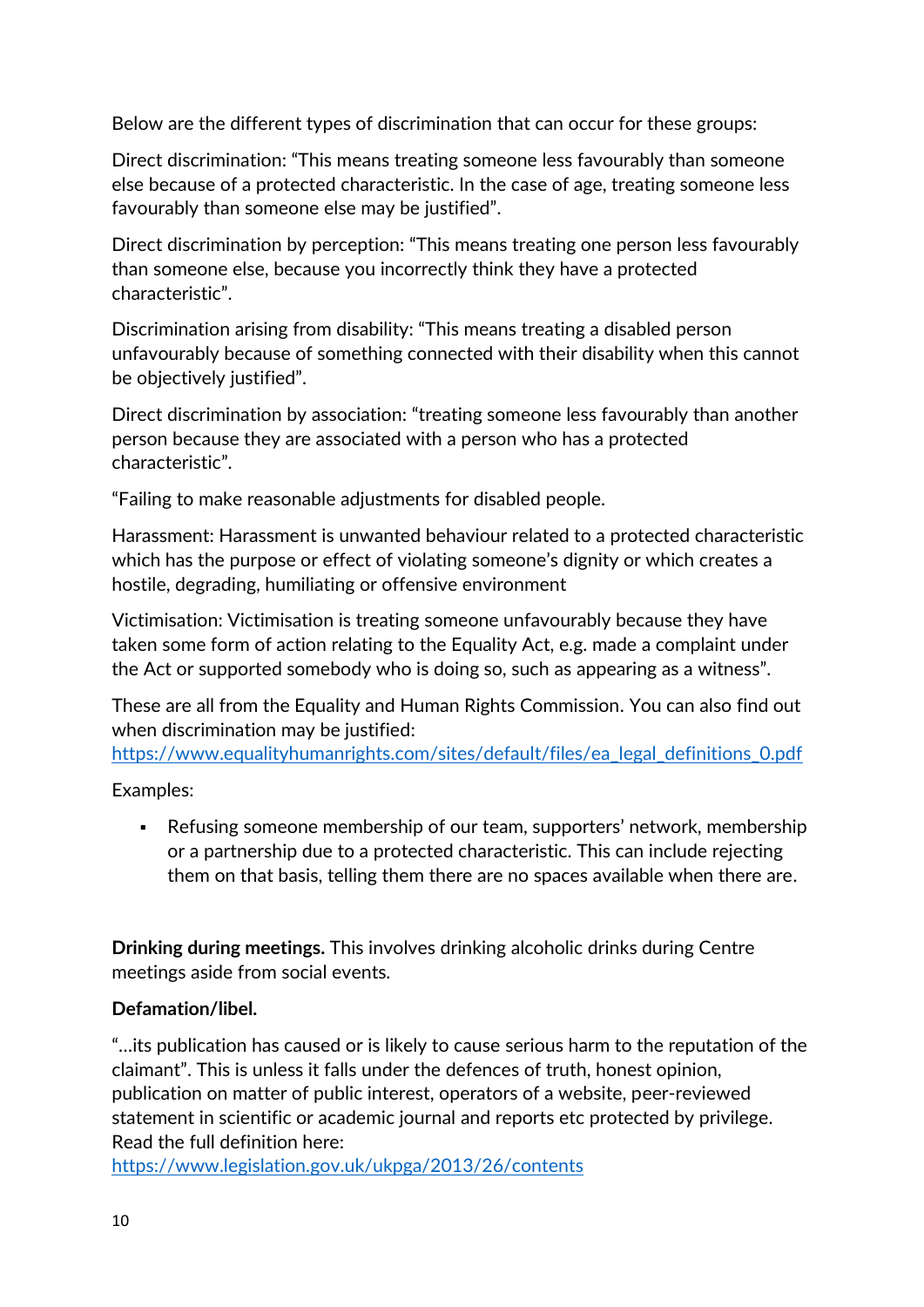Below are the different types of discrimination that can occur for these groups:

Direct discrimination: "This means treating someone less favourably than someone else because of a protected characteristic. In the case of age, treating someone less favourably than someone else may be justified".

Direct discrimination by perception: "This means treating one person less favourably than someone else, because you incorrectly think they have a protected characteristic".

Discrimination arising from disability: "This means treating a disabled person unfavourably because of something connected with their disability when this cannot be objectively justified".

Direct discrimination by association: "treating someone less favourably than another person because they are associated with a person who has a protected characteristic".

"Failing to make reasonable adjustments for disabled people.

Harassment: Harassment is unwanted behaviour related to a protected characteristic which has the purpose or effect of violating someone's dignity or which creates a hostile, degrading, humiliating or offensive environment

Victimisation: Victimisation is treating someone unfavourably because they have taken some form of action relating to the Equality Act, e.g. made a complaint under the Act or supported somebody who is doing so, such as appearing as a witness".

These are all from the Equality and Human Rights Commission. You can also find out when discrimination may be justified:

[https://www.equalityhumanrights.com/sites/default/files/ea\\_legal\\_definitions\\_0.pdf](https://www.equalityhumanrights.com/sites/default/files/ea_legal_definitions_0.pdf)

Examples:

■ Refusing someone membership of our team, supporters' network, membership or a partnership due to a protected characteristic. This can include rejecting them on that basis, telling them there are no spaces available when there are.

**Drinking during meetings.** This involves drinking alcoholic drinks during Centre meetings aside from social events.

#### **Defamation/libel.**

"…its publication has caused or is likely to cause serious harm to the reputation of the claimant". This is unless it falls under the defences of truth, honest opinion, publication on matter of public interest, operators of a website, peer-reviewed statement in scientific or academic journal and reports etc protected by privilege. Read the full definition here:

<https://www.legislation.gov.uk/ukpga/2013/26/contents>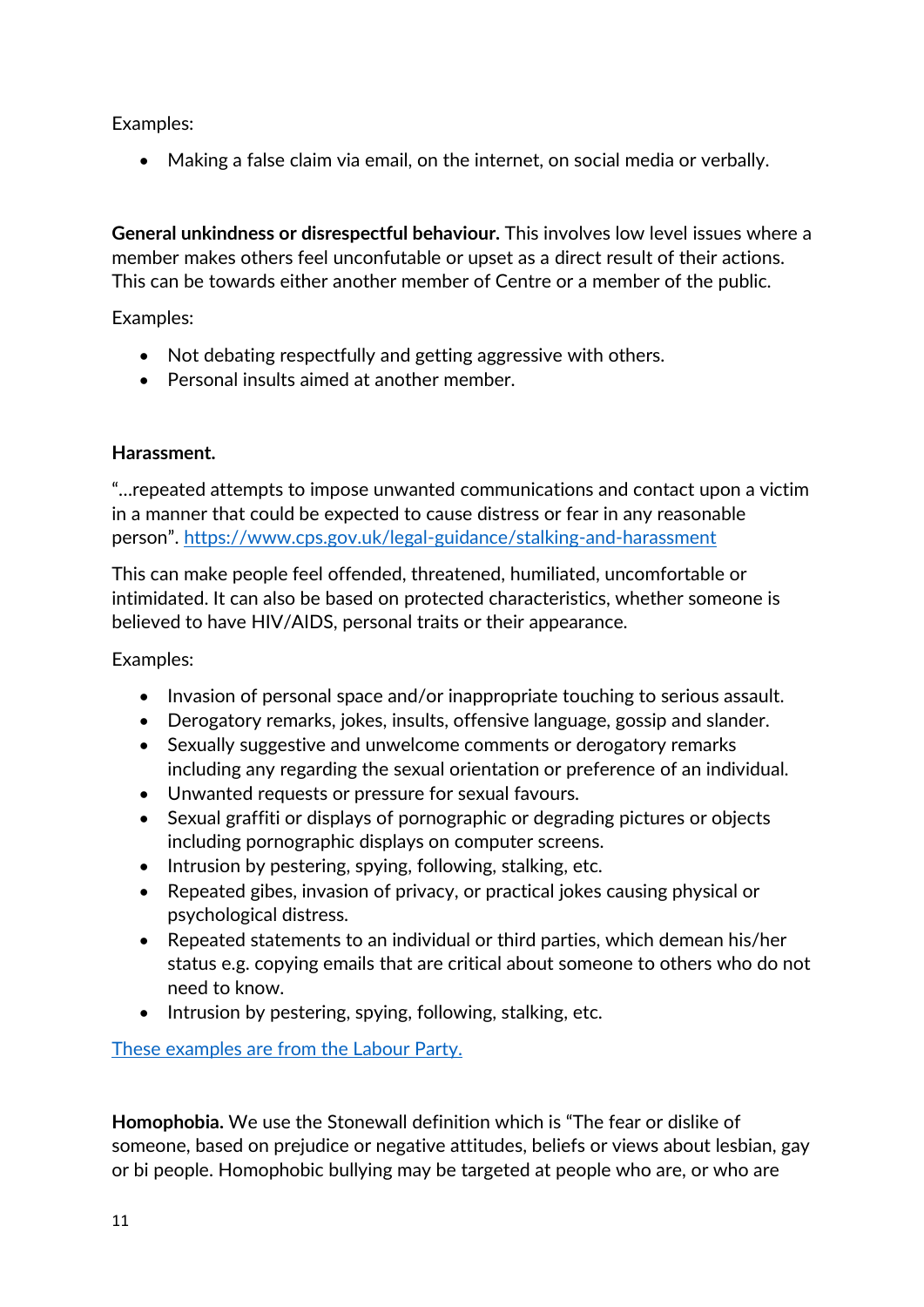• Making a false claim via email, on the internet, on social media or verbally.

**General unkindness or disrespectful behaviour.** This involves low level issues where a member makes others feel unconfutable or upset as a direct result of their actions. This can be towards either another member of Centre or a member of the public.

Examples:

- Not debating respectfully and getting aggressive with others.
- Personal insults aimed at another member.

#### **Harassment.**

"…repeated attempts to impose unwanted communications and contact upon a victim in a manner that could be expected to cause distress or fear in any reasonable person". <https://www.cps.gov.uk/legal-guidance/stalking-and-harassment>

This can make people feel offended, threatened, humiliated, uncomfortable or intimidated. It can also be based on protected characteristics, whether someone is believed to have HIV/AIDS, personal traits or their appearance.

Examples:

- Invasion of personal space and/or inappropriate touching to serious assault.
- Derogatory remarks, jokes, insults, offensive language, gossip and slander.
- Sexually suggestive and unwelcome comments or derogatory remarks including any regarding the sexual orientation or preference of an individual.
- Unwanted requests or pressure for sexual favours.
- Sexual graffiti or displays of pornographic or degrading pictures or objects including pornographic displays on computer screens.
- Intrusion by pestering, spying, following, stalking, etc.
- Repeated gibes, invasion of privacy, or practical jokes causing physical or psychological distress.
- Repeated statements to an individual or third parties, which demean his/her status e.g. copying emails that are critical about someone to others who do not need to know.
- Intrusion by pestering, spying, following, stalking, etc.

[These examples are from the Labour Party.](https://labour.org.uk/members/my-welfare/my-rights-and-responsibilities/labours-bullying-harassment-policy/)

**Homophobia.** We use the Stonewall definition which is "The fear or dislike of someone, based on prejudice or negative attitudes, beliefs or views about lesbian, gay or bi people. Homophobic bullying may be targeted at people who are, or who are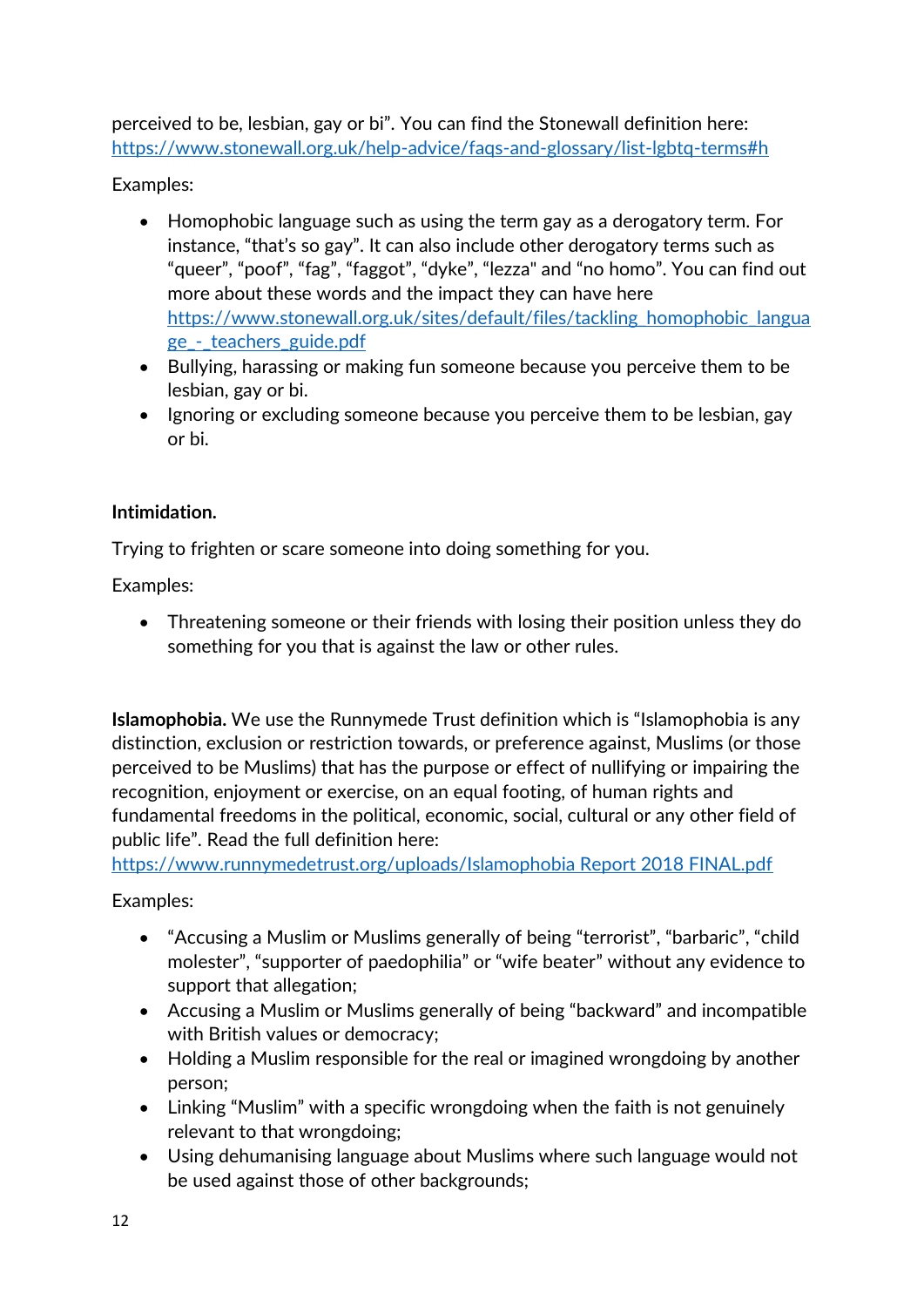perceived to be, lesbian, gay or bi". You can find the Stonewall definition here: <https://www.stonewall.org.uk/help-advice/faqs-and-glossary/list-lgbtq-terms#h>

Examples:

- Homophobic language such as using the term gay as a derogatory term. For instance, "that's so gay". It can also include other derogatory terms such as "queer", "poof", "fag", "faggot", "dyke", "lezza" and "no homo". You can find out more about these words and the impact they can have here [https://www.stonewall.org.uk/sites/default/files/tackling\\_homophobic\\_langua](https://www.stonewall.org.uk/sites/default/files/tackling_homophobic_language_-_teachers_guide.pdf) ge - teachers guide.pdf
- Bullying, harassing or making fun someone because you perceive them to be lesbian, gay or bi.
- Ignoring or excluding someone because you perceive them to be lesbian, gay or bi.

#### **Intimidation.**

Trying to frighten or scare someone into doing something for you.

Examples:

• Threatening someone or their friends with losing their position unless they do something for you that is against the law or other rules.

**Islamophobia.** We use the Runnymede Trust definition which is "Islamophobia is any distinction, exclusion or restriction towards, or preference against, Muslims (or those perceived to be Muslims) that has the purpose or effect of nullifying or impairing the recognition, enjoyment or exercise, on an equal footing, of human rights and fundamental freedoms in the political, economic, social, cultural or any other field of public life". Read the full definition here:

[https://www.runnymedetrust.org/uploads/Islamophobia Report 2018 FINAL.pdf](https://www.runnymedetrust.org/uploads/Islamophobia%20Report%202018%20FINAL.pdf)

Examples:

- "Accusing a Muslim or Muslims generally of being "terrorist", "barbaric", "child molester", "supporter of paedophilia" or "wife beater" without any evidence to support that allegation;
- Accusing a Muslim or Muslims generally of being "backward" and incompatible with British values or democracy;
- Holding a Muslim responsible for the real or imagined wrongdoing by another person;
- Linking "Muslim" with a specific wrongdoing when the faith is not genuinely relevant to that wrongdoing;
- Using dehumanising language about Muslims where such language would not be used against those of other backgrounds;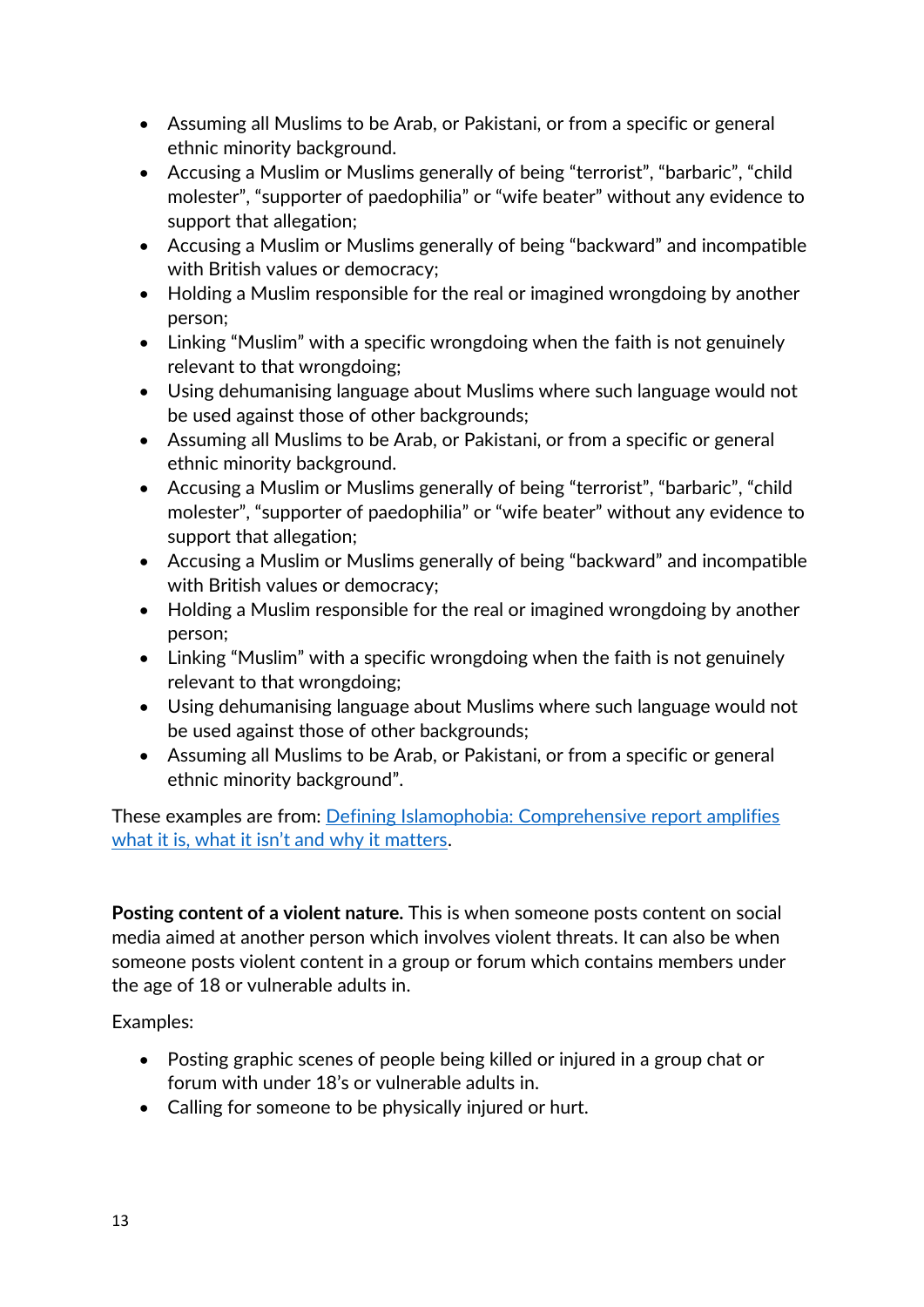- Assuming all Muslims to be Arab, or Pakistani, or from a specific or general ethnic minority background.
- Accusing a Muslim or Muslims generally of being "terrorist", "barbaric", "child molester", "supporter of paedophilia" or "wife beater" without any evidence to support that allegation;
- Accusing a Muslim or Muslims generally of being "backward" and incompatible with British values or democracy;
- Holding a Muslim responsible for the real or imagined wrongdoing by another person;
- Linking "Muslim" with a specific wrongdoing when the faith is not genuinely relevant to that wrongdoing;
- Using dehumanising language about Muslims where such language would not be used against those of other backgrounds;
- Assuming all Muslims to be Arab, or Pakistani, or from a specific or general ethnic minority background.
- Accusing a Muslim or Muslims generally of being "terrorist", "barbaric", "child molester", "supporter of paedophilia" or "wife beater" without any evidence to support that allegation;
- Accusing a Muslim or Muslims generally of being "backward" and incompatible with British values or democracy;
- Holding a Muslim responsible for the real or imagined wrongdoing by another person;
- Linking "Muslim" with a specific wrongdoing when the faith is not genuinely relevant to that wrongdoing;
- Using dehumanising language about Muslims where such language would not be used against those of other backgrounds;
- Assuming all Muslims to be Arab, or Pakistani, or from a specific or general ethnic minority background".

These examples are from: [Defining Islamophobia: Comprehensive report amplifies](https://mcb.org.uk/resources/islamophobia/)  [what it is, what it isn't and why it matters](https://mcb.org.uk/resources/islamophobia/).

**Posting content of a violent nature.** This is when someone posts content on social media aimed at another person which involves violent threats. It can also be when someone posts violent content in a group or forum which contains members under the age of 18 or vulnerable adults in.

Examples:

- Posting graphic scenes of people being killed or injured in a group chat or forum with under 18's or vulnerable adults in.
- Calling for someone to be physically injured or hurt.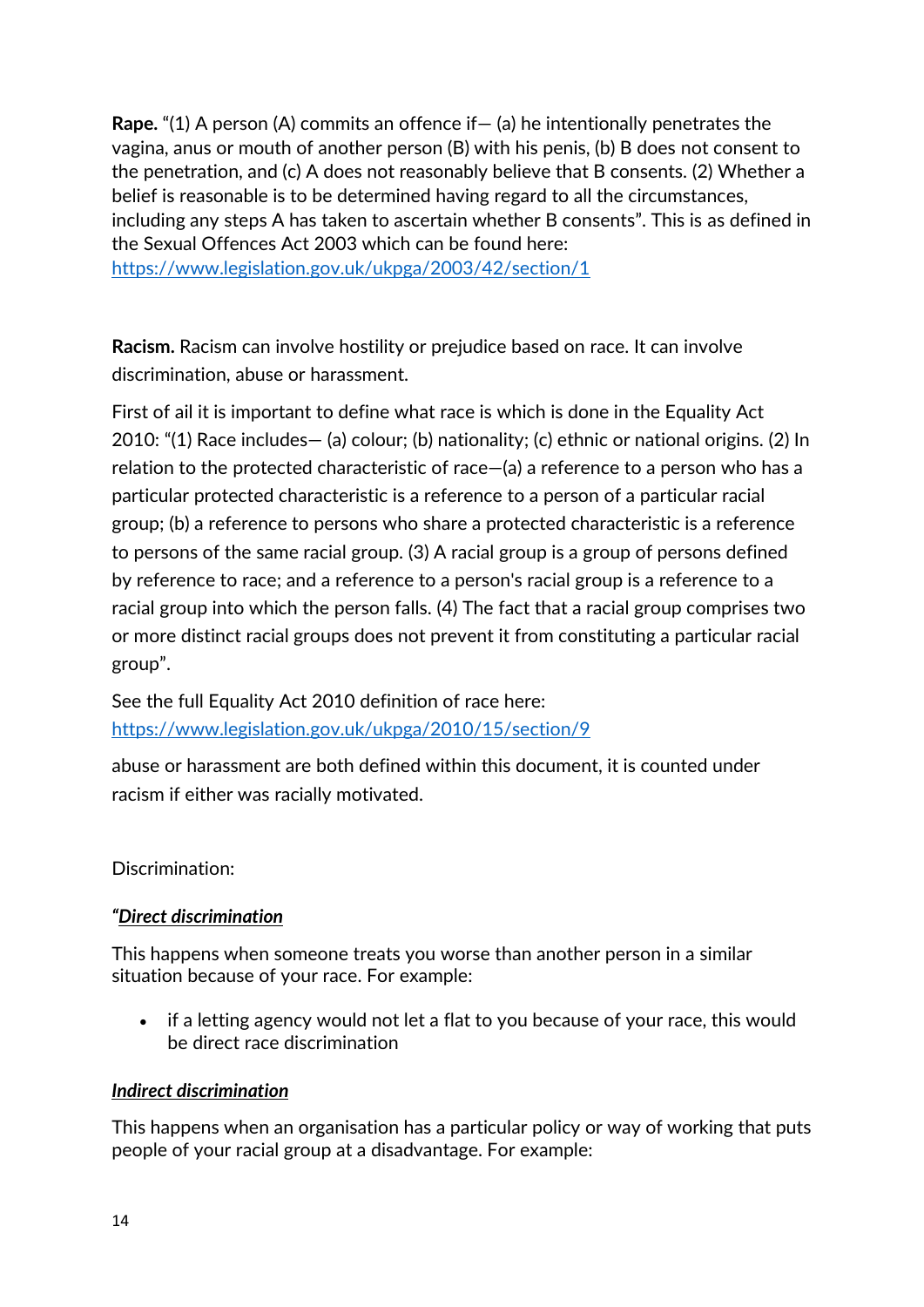**Rape.** "(1) A person (A) commits an offence if— (a) he intentionally penetrates the vagina, anus or mouth of another person (B) with his penis, (b) B does not consent to the penetration, and (c) A does not reasonably believe that B consents. (2) Whether a belief is reasonable is to be determined having regard to all the circumstances, including any steps A has taken to ascertain whether B consents". This is as defined in the Sexual Offences Act 2003 which can be found here:

<https://www.legislation.gov.uk/ukpga/2003/42/section/1>

**Racism.** Racism can involve hostility or prejudice based on race. It can involve discrimination, abuse or harassment.

First of ail it is important to define what race is which is done in the Equality Act 2010: "(1) Race includes— (a) colour; (b) nationality; (c) ethnic or national origins. (2) In relation to the protected characteristic of race—(a) a reference to a person who has a particular protected characteristic is a reference to a person of a particular racial group; (b) a reference to persons who share a protected characteristic is a reference to persons of the same racial group. (3) A racial group is a group of persons defined by reference to race; and a reference to a person's racial group is a reference to a racial group into which the person falls. (4) The fact that a racial group comprises two or more distinct racial groups does not prevent it from constituting a particular racial group".

See the full Equality Act 2010 definition of race here: <https://www.legislation.gov.uk/ukpga/2010/15/section/9>

abuse or harassment are both defined within this document, it is counted under racism if either was racially motivated.

#### Discrimination:

#### *"[Direct discrimination](https://www.equalityhumanrights.com/en/advice-and-guidance/what-direct-and-indirect-discrimination)*

This happens when someone treats you worse than another person in a similar situation because of your race. For example:

• if a letting agency would not let a flat to you because of your race, this would be direct race discrimination

#### *[Indirect discrimination](https://www.equalityhumanrights.com/en/advice-and-guidance/what-direct-and-indirect-discrimination)*

This happens when an organisation has a particular policy or way of working that puts people of your racial group at a disadvantage. For example: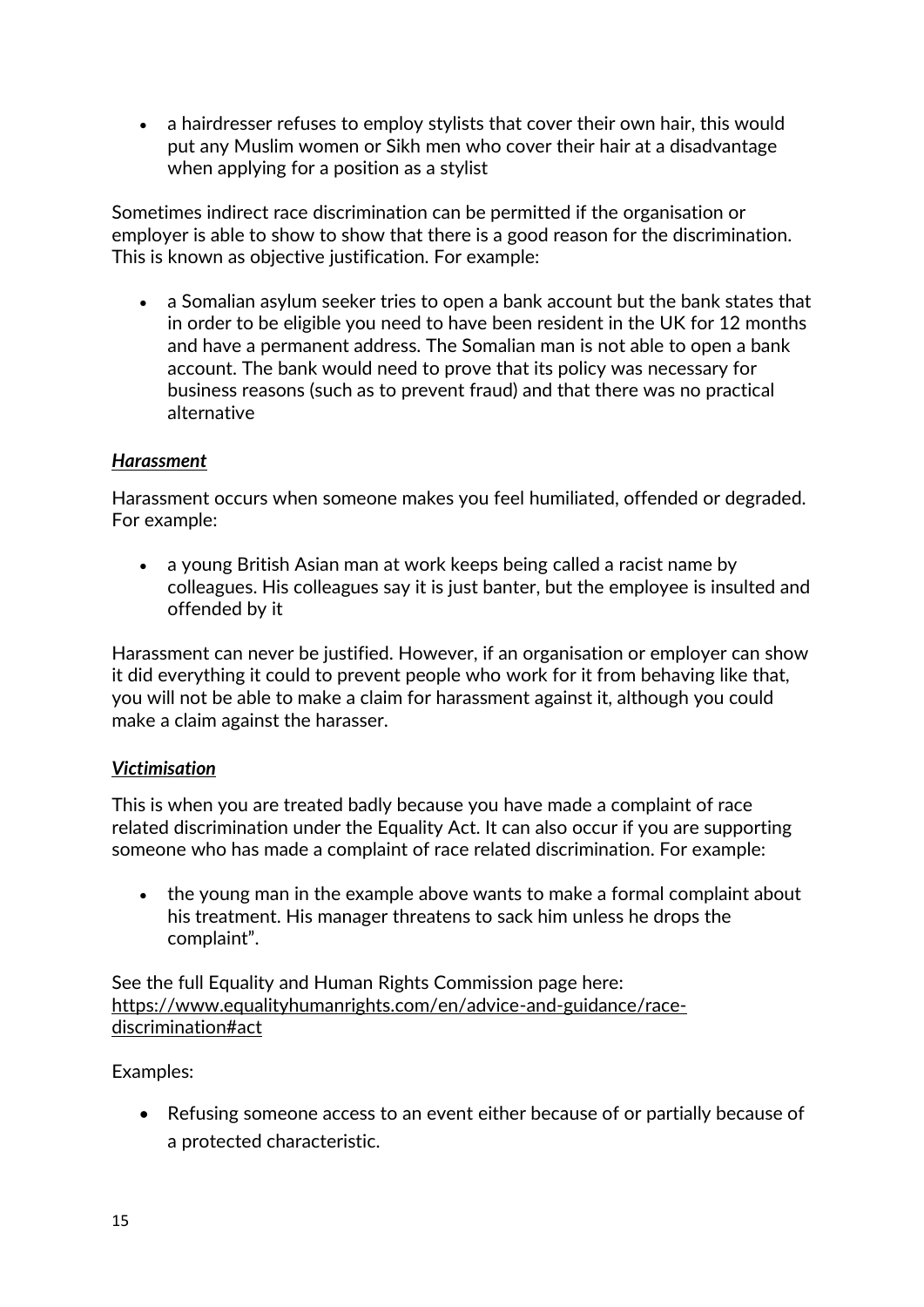• a hairdresser refuses to employ stylists that cover their own hair, this would put any Muslim women or Sikh men who cover their hair at a disadvantage when applying for a position as a stylist

Sometimes indirect race discrimination can be permitted if the organisation or employer is able to show to show that there is a good reason for the discrimination. This is known as objective justification. For example:

• a Somalian asylum seeker tries to open a bank account but the bank states that in order to be eligible you need to have been resident in the UK for 12 months and have a permanent address. The Somalian man is not able to open a bank account. The bank would need to prove that its policy was necessary for business reasons (such as to prevent fraud) and that there was no practical alternative

#### *[Harassment](https://www.equalityhumanrights.com/en/advice-and-guidance/what-harassment-and-victimisation)*

Harassment occurs when someone makes you feel humiliated, offended or degraded. For example:

• a young British Asian man at work keeps being called a racist name by colleagues. His colleagues say it is just banter, but the employee is insulted and offended by it

Harassment can never be justified. However, if an organisation or employer can show it did everything it could to prevent people who work for it from behaving like that, you will not be able to make a claim for harassment against it, although you could make a claim against the harasser.

#### *[Victimisation](https://www.equalityhumanrights.com/en/advice-and-guidance/what-harassment-and-victimisation)*

This is when you are treated badly because you have made a complaint of race related discrimination under the Equality Act. It can also occur if you are supporting someone who has made a complaint of race related discrimination. For example:

• the young man in the example above wants to make a formal complaint about his treatment. His manager threatens to sack him unless he drops the complaint".

See the full Equality and Human Rights Commission page here: [https://www.equalityhumanrights.com/en/advice-and-guidance/race](https://www.equalityhumanrights.com/en/advice-and-guidance/race-discrimination#act)[discrimination#act](https://www.equalityhumanrights.com/en/advice-and-guidance/race-discrimination#act)

Examples:

• Refusing someone access to an event either because of or partially because of a protected characteristic.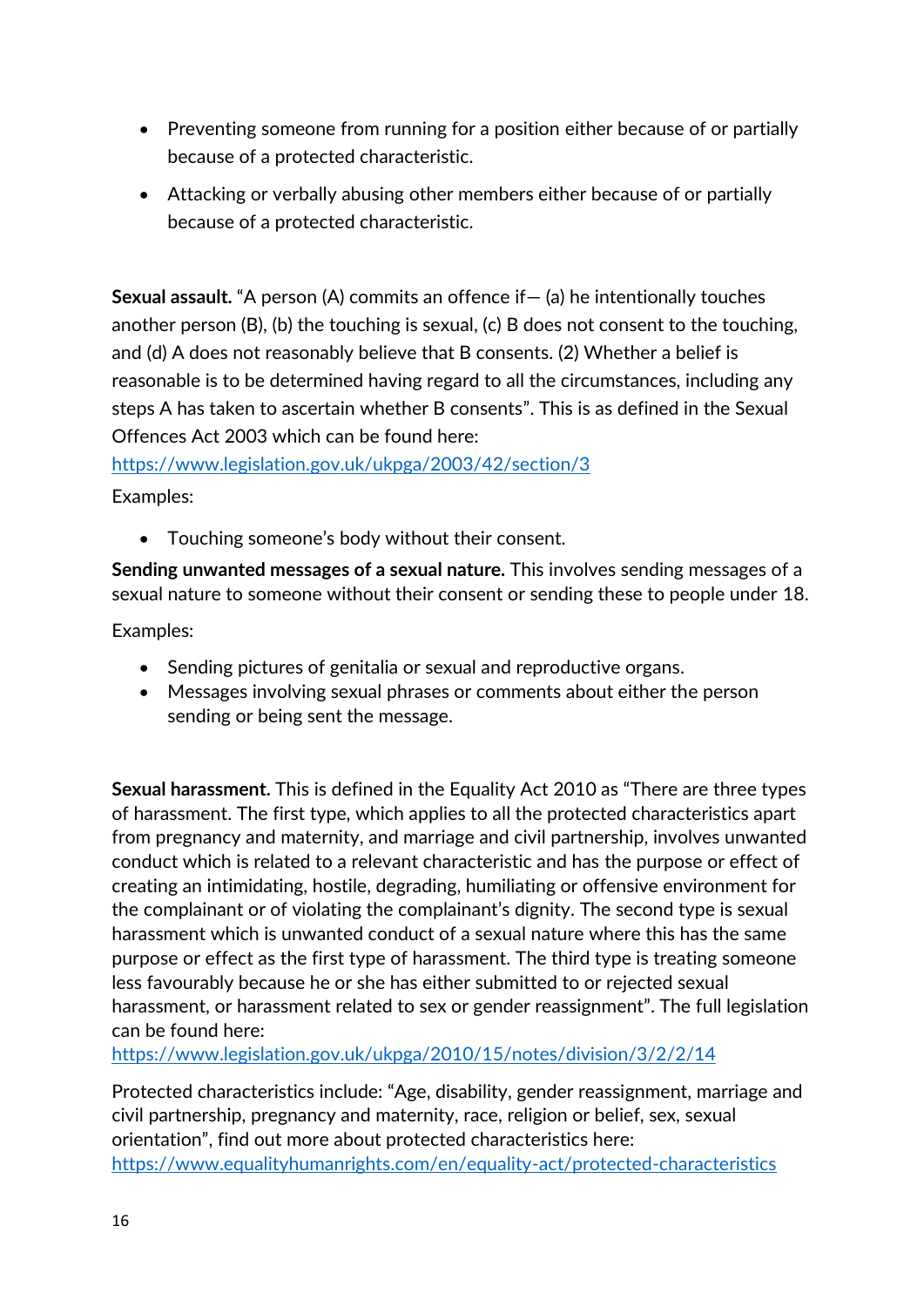- Preventing someone from running for a position either because of or partially because of a protected characteristic.
- Attacking or verbally abusing other members either because of or partially because of a protected characteristic.

**Sexual assault.** "A person (A) commits an offence if— (a) he intentionally touches another person (B), (b) the touching is sexual, (c) B does not consent to the touching, and (d) A does not reasonably believe that B consents. (2) Whether a belief is reasonable is to be determined having regard to all the circumstances, including any steps A has taken to ascertain whether B consents". This is as defined in the Sexual Offences Act 2003 which can be found here:

<https://www.legislation.gov.uk/ukpga/2003/42/section/3>

Examples:

• Touching someone's body without their consent.

**Sending unwanted messages of a sexual nature.** This involves sending messages of a sexual nature to someone without their consent or sending these to people under 18.

Examples:

- Sending pictures of genitalia or sexual and reproductive organs.
- Messages involving sexual phrases or comments about either the person sending or being sent the message.

**Sexual harassment.** This is defined in the Equality Act 2010 as "There are three types of harassment. The first type, which applies to all the protected characteristics apart from pregnancy and maternity, and marriage and civil partnership, involves unwanted conduct which is related to a relevant characteristic and has the purpose or effect of creating an intimidating, hostile, degrading, humiliating or offensive environment for the complainant or of violating the complainant's dignity. The second type is sexual harassment which is unwanted conduct of a sexual nature where this has the same purpose or effect as the first type of harassment. The third type is treating someone less favourably because he or she has either submitted to or rejected sexual harassment, or harassment related to sex or gender reassignment". The full legislation can be found here:

<https://www.legislation.gov.uk/ukpga/2010/15/notes/division/3/2/2/14>

Protected characteristics include: "Age, disability, gender reassignment, marriage and civil partnership, pregnancy and maternity, race, religion or belief, sex, sexual orientation", find out more about protected characteristics here: <https://www.equalityhumanrights.com/en/equality-act/protected-characteristics>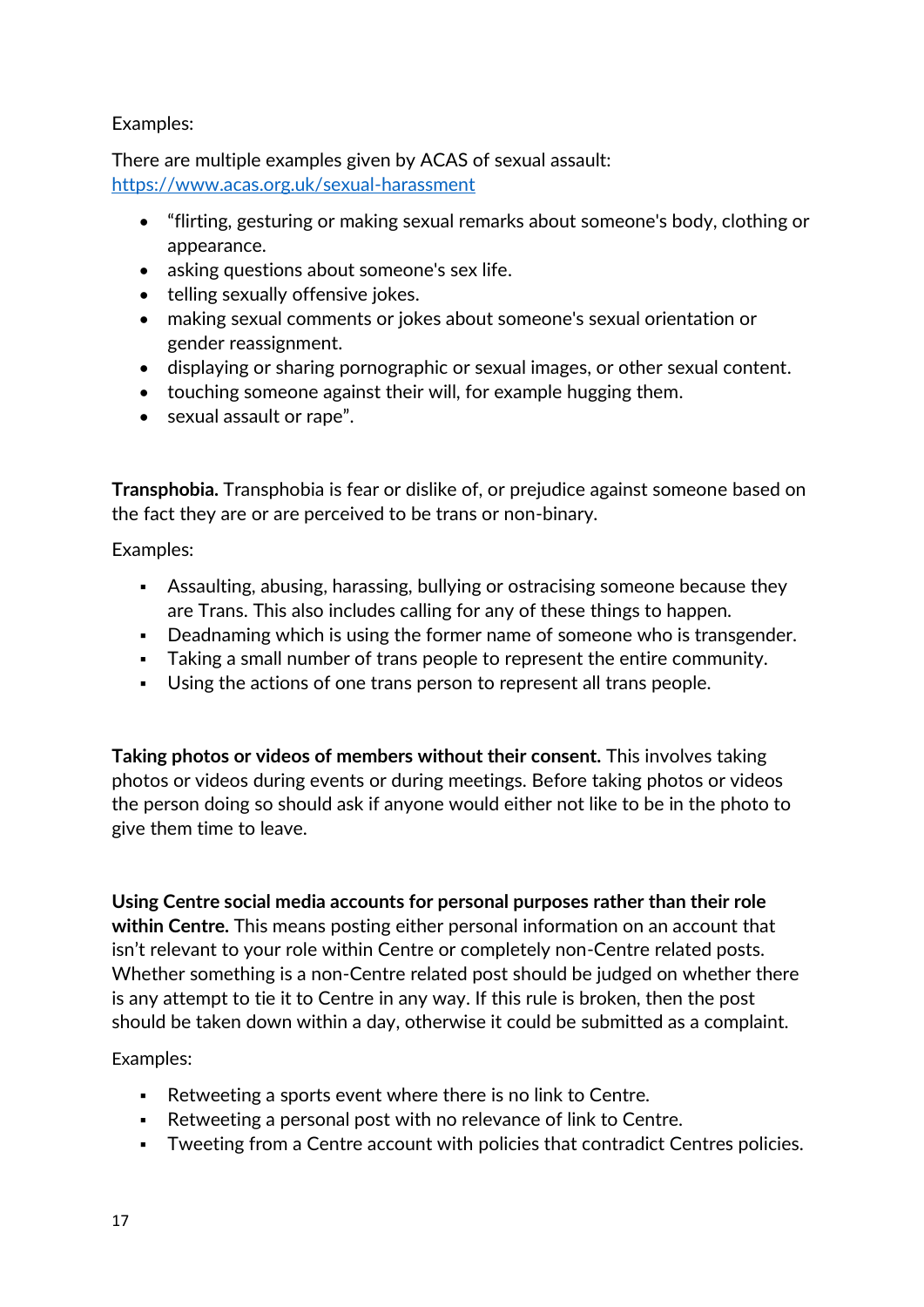There are multiple examples given by ACAS of sexual assault: <https://www.acas.org.uk/sexual-harassment>

- "flirting, gesturing or making sexual remarks about someone's body, clothing or appearance.
- asking questions about someone's sex life.
- telling sexually offensive jokes.
- making sexual comments or jokes about someone's sexual orientation or gender reassignment.
- displaying or sharing pornographic or sexual images, or other sexual content.
- touching someone against their will, for example hugging them.
- sexual assault or rape".

**Transphobia.** Transphobia is fear or dislike of, or prejudice against someone based on the fact they are or are perceived to be trans or non-binary.

Examples:

- Assaulting, abusing, harassing, bullying or ostracising someone because they are Trans. This also includes calling for any of these things to happen.
- Deadnaming which is using the former name of someone who is transgender.
- Taking a small number of trans people to represent the entire community.
- Using the actions of one trans person to represent all trans people.

**Taking photos or videos of members without their consent.** This involves taking photos or videos during events or during meetings. Before taking photos or videos the person doing so should ask if anyone would either not like to be in the photo to give them time to leave.

**Using Centre social media accounts for personal purposes rather than their role within Centre.** This means posting either personal information on an account that isn't relevant to your role within Centre or completely non-Centre related posts. Whether something is a non-Centre related post should be judged on whether there is any attempt to tie it to Centre in any way. If this rule is broken, then the post should be taken down within a day, otherwise it could be submitted as a complaint.

#### Examples:

- Retweeting a sports event where there is no link to Centre.
- Retweeting a personal post with no relevance of link to Centre.
- **•** Tweeting from a Centre account with policies that contradict Centres policies.